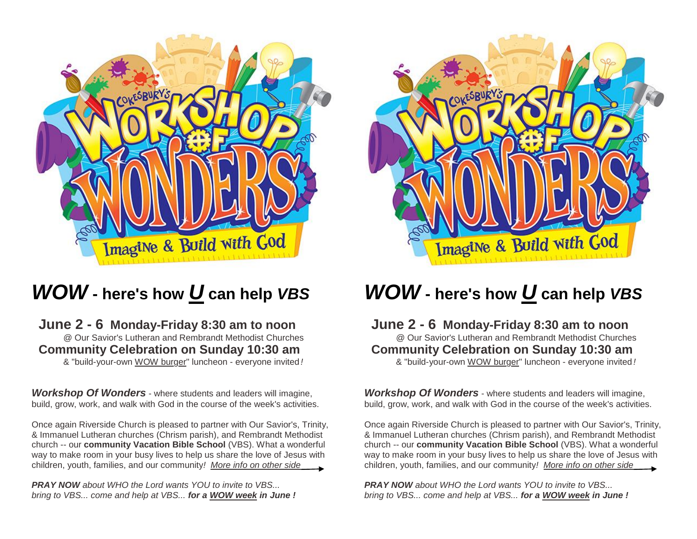

# *WOW* **- here's how** *U* **can help** *VBS*

#### **June 2 - 6 Monday-Friday 8:30 am to noon** @ Our Savior's Lutheran and Rembrandt Methodist Churches  **Community Celebration on Sunday 10:30 am** & "build-your-own WOW burger" luncheon - everyone invited *!*

*Workshop Of Wonders* - where students and leaders will imagine, build, grow, work, and walk with God in the course of the week's activities.

Once again Riverside Church is pleased to partner with Our Savior's, Trinity, & Immanuel Lutheran churches (Chrism parish), and Rembrandt Methodist church -- our **community Vacation Bible School** (VBS). What a wonderful way to make room in your busy lives to help us share the love of Jesus with children, youth, families, and our community*! More info on other side*

*PRAY NOW about WHO the Lord wants YOU to invite to VBS... bring to VBS... come and help at VBS... for a WOW week in June !*



## *WOW* **- here's how** *U* **can help** *VBS*

### **June 2 - 6 Monday-Friday 8:30 am to noon** @ Our Savior's Lutheran and Rembrandt Methodist Churches  **Community Celebration on Sunday 10:30 am**

& "build-your-own WOW burger" luncheon - everyone invited *!*

*Workshop Of Wonders* - where students and leaders will imagine, build, grow, work, and walk with God in the course of the week's activities.

Once again Riverside Church is pleased to partner with Our Savior's, Trinity, & Immanuel Lutheran churches (Chrism parish), and Rembrandt Methodist church -- our **community Vacation Bible School** (VBS). What a wonderful way to make room in your busy lives to help us share the love of Jesus with children, youth, families, and our community*! More info on other side*

*PRAY NOW about WHO the Lord wants YOU to invite to VBS... bring to VBS... come and help at VBS... for a WOW week in June !*